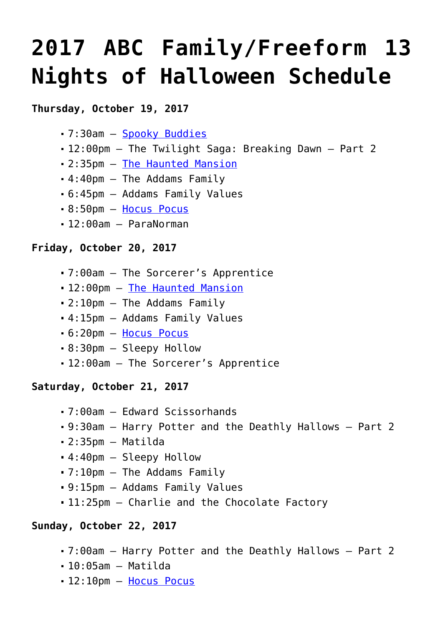# **[2017 ABC Family/Freeform 13](https://www.halloweenmoviesontv.com/archives/2017-abc-family-freeform-13-nights-of-halloween-schedule/) [Nights of Halloween Schedule](https://www.halloweenmoviesontv.com/archives/2017-abc-family-freeform-13-nights-of-halloween-schedule/)**

## **Thursday, October 19, 2017**

- 7:30am – [Spooky Buddies](http://www.halloweenmoviesontv.com/halloween-movies-a-to-z/spooky-buddies-2011/)
- 12:00pm The Twilight Saga: Breaking Dawn Part 2
- 2:35pm – [The Haunted Mansion](http://www.halloweenmoviesontv.com/halloween-movies-a-to-z/the-haunted-mansion-2003/)
- 4:40pm The Addams Family
- 6:45pm Addams Family Values
- 8:50pm – [Hocus Pocus](http://www.halloweenmoviesontv.com/halloween-movies-a-to-z/hocus-pocus-1993/)
- 12:00am ParaNorman

## **Friday, October 20, 2017**

- 7:00am The Sorcerer's Apprentice
- 12:00pm [The Haunted Mansion](http://www.halloweenmoviesontv.com/halloween-movies-a-to-z/the-haunted-mansion-2003/)
- 2:10pm The Addams Family
- 4:15pm Addams Family Values
- 6:20pm – [Hocus Pocus](http://www.halloweenmoviesontv.com/halloween-movies-a-to-z/hocus-pocus-1993/)
- 8:30pm Sleepy Hollow
- 12:00am The Sorcerer's Apprentice

## **Saturday, October 21, 2017**

- 7:00am Edward Scissorhands
- 9:30am Harry Potter and the Deathly Hallows Part 2
- 2:35pm Matilda
- 4:40pm Sleepy Hollow
- 7:10pm The Addams Family
- 9:15pm Addams Family Values
- 11:25pm Charlie and the Chocolate Factory

## **Sunday, October 22, 2017**

- 7:00am Harry Potter and the Deathly Hallows Part 2
- $-10:05$ am Matilda
- 12:10pm [Hocus Pocus](http://www.halloweenmoviesontv.com/halloween-movies-a-to-z/hocus-pocus-1993/)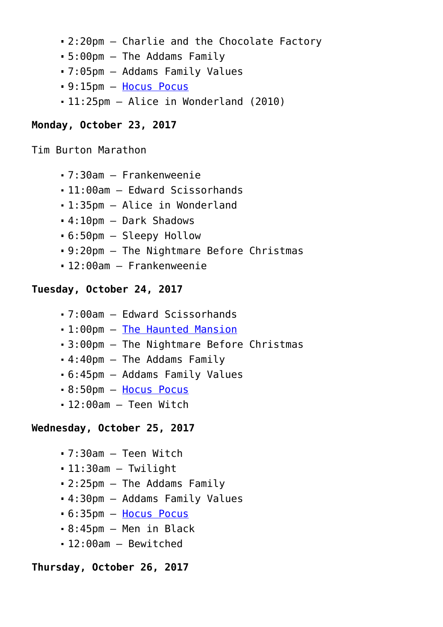- 2:20pm Charlie and the Chocolate Factory
- 5:00pm The Addams Family
- 7:05pm Addams Family Values
- 9:15pm – [Hocus Pocus](http://www.halloweenmoviesontv.com/halloween-movies-a-to-z/hocus-pocus-1993/)
- 11:25pm Alice in Wonderland (2010)

#### **Monday, October 23, 2017**

Tim Burton Marathon

- 7:30am Frankenweenie
- 11:00am Edward Scissorhands
- 1:35pm Alice in Wonderland
- 4:10pm Dark Shadows
- 6:50pm Sleepy Hollow
- 9:20pm The Nightmare Before Christmas
- 12:00am Frankenweenie

### **Tuesday, October 24, 2017**

- 7:00am Edward Scissorhands
- 1:00pm – [The Haunted Mansion](http://www.halloweenmoviesontv.com/halloween-movies-a-to-z/the-haunted-mansion-2003/)
- 3:00pm The Nightmare Before Christmas
- 4:40pm The Addams Family
- 6:45pm Addams Family Values
- 8:50pm – [Hocus Pocus](http://www.halloweenmoviesontv.com/halloween-movies-a-to-z/hocus-pocus-1993/)
- 12:00am Teen Witch

### **Wednesday, October 25, 2017**

- 7:30am Teen Witch
- 11:30am Twilight
- 2:25pm The Addams Family
- 4:30pm Addams Family Values
- 6:35pm – [Hocus Pocus](http://www.halloweenmoviesontv.com/halloween-movies-a-to-z/hocus-pocus-1993/)
- 8:45pm Men in Black
- 12:00am Bewitched

#### **Thursday, October 26, 2017**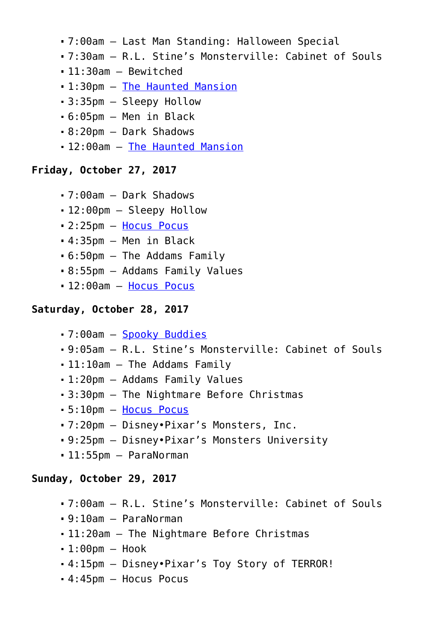- 7:00am Last Man Standing: Halloween Special
- 7:30am R.L. Stine's Monsterville: Cabinet of Souls
- 11:30am Bewitched
- 1:30pm – [The Haunted Mansion](http://www.halloweenmoviesontv.com/halloween-movies-a-to-z/the-haunted-mansion-2003/)
- 3:35pm Sleepy Hollow
- 6:05pm Men in Black
- 8:20pm Dark Shadows
- 12:00am [The Haunted Mansion](http://www.halloweenmoviesontv.com/halloween-movies-a-to-z/the-haunted-mansion-2003/)

## **Friday, October 27, 2017**

- 7:00am Dark Shadows
- 12:00pm Sleepy Hollow
- 2:25pm – [Hocus Pocus](http://www.halloweenmoviesontv.com/halloween-movies-a-to-z/hocus-pocus-1993/)
- 4:35pm Men in Black
- 6:50pm The Addams Family
- 8:55pm Addams Family Values
- 12:00am [Hocus Pocus](http://www.halloweenmoviesontv.com/halloween-movies-a-to-z/hocus-pocus-1993/)

## **Saturday, October 28, 2017**

- 7:00am – [Spooky Buddies](http://www.halloweenmoviesontv.com/halloween-movies-a-to-z/spooky-buddies-2011/)
- 9:05am R.L. Stine's Monsterville: Cabinet of Souls
- 11:10am The Addams Family
- 1:20pm Addams Family Values
- 3:30pm The Nightmare Before Christmas
- 5:10pm – [Hocus Pocus](http://www.halloweenmoviesontv.com/halloween-movies-a-to-z/hocus-pocus-1993/)
- 7:20pm Disney•Pixar's Monsters, Inc.
- 9:25pm Disney•Pixar's Monsters University
- 11:55pm ParaNorman

## **Sunday, October 29, 2017**

- 7:00am R.L. Stine's Monsterville: Cabinet of Souls
- 9:10am ParaNorman
- 11:20am The Nightmare Before Christmas
- $-1:00$ pm Hook
- 4:15pm Disney•Pixar's Toy Story of TERROR!
- 4:45pm Hocus Pocus